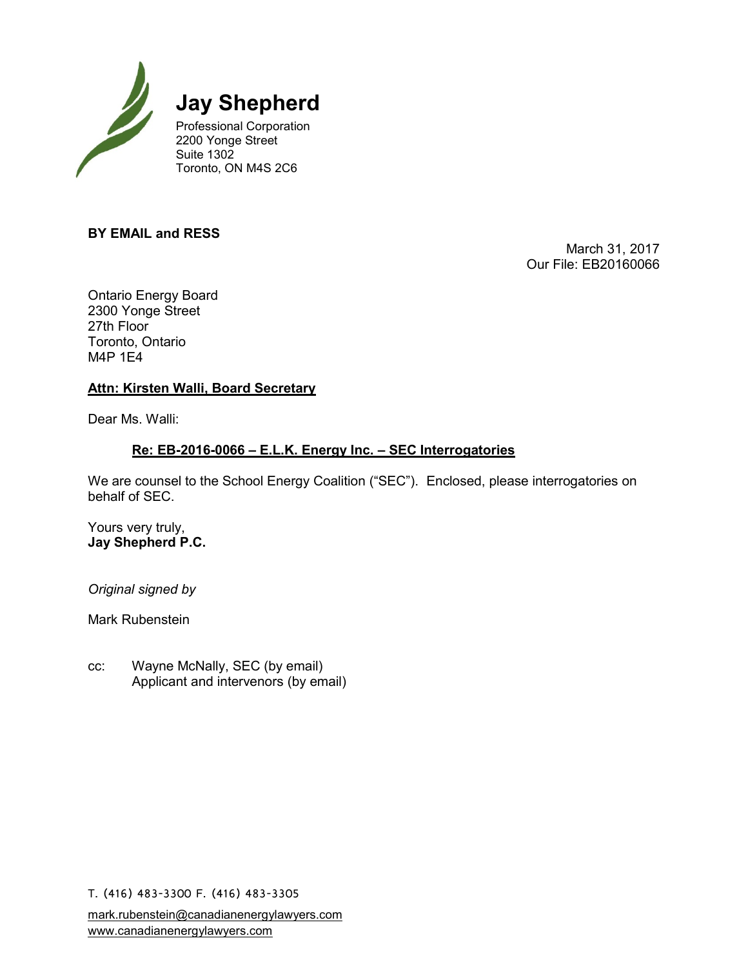

**Jay Shepherd**

Professional Corporation 2200 Yonge Street Suite 1302 Toronto, ON M4S 2C6

## **BY EMAIL and RESS**

March 31, 2017 Our File: EB20160066

Ontario Energy Board 2300 Yonge Street 27th Floor Toronto, Ontario M4P 1E4

# **Attn: Kirsten Walli, Board Secretary**

Dear Ms. Walli:

# **Re: EB-2016-0066 – E.L.K. Energy Inc. – SEC Interrogatories**

We are counsel to the School Energy Coalition ("SEC"). Enclosed, please interrogatories on behalf of SEC.

Yours very truly, **Jay Shepherd P.C.**

*Original signed by*

Mark Rubenstein

cc: Wayne McNally, SEC (by email) Applicant and intervenors (by email)

T. (416) 483-3300 F. (416) 483-3305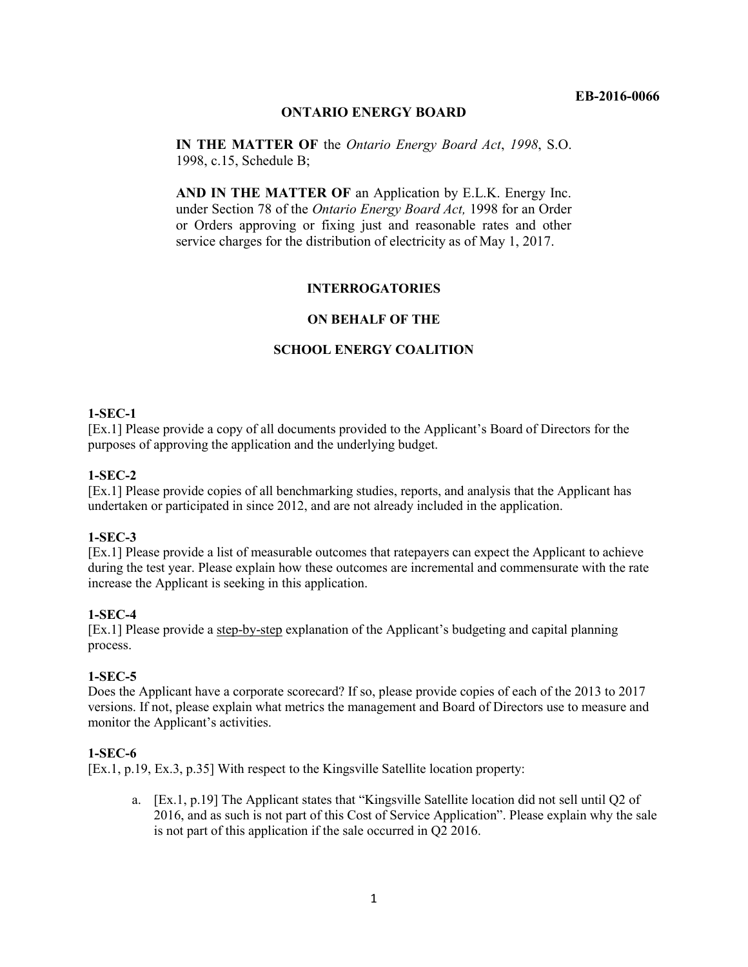## **ONTARIO ENERGY BOARD**

**IN THE MATTER OF** the *Ontario Energy Board Act*, *1998*, S.O. 1998, c.15, Schedule B;

**AND IN THE MATTER OF** an Application by E.L.K. Energy Inc. under Section 78 of the *Ontario Energy Board Act,* 1998 for an Order or Orders approving or fixing just and reasonable rates and other service charges for the distribution of electricity as of May 1, 2017.

#### **INTERROGATORIES**

#### **ON BEHALF OF THE**

#### **SCHOOL ENERGY COALITION**

#### **1-SEC-1**

[Ex.1] Please provide a copy of all documents provided to the Applicant's Board of Directors for the purposes of approving the application and the underlying budget.

#### **1-SEC-2**

[Ex.1] Please provide copies of all benchmarking studies, reports, and analysis that the Applicant has undertaken or participated in since 2012, and are not already included in the application.

#### **1-SEC-3**

[Ex.1] Please provide a list of measurable outcomes that ratepayers can expect the Applicant to achieve during the test year. Please explain how these outcomes are incremental and commensurate with the rate increase the Applicant is seeking in this application.

#### **1-SEC-4**

[Ex.1] Please provide a step-by-step explanation of the Applicant's budgeting and capital planning process.

#### **1-SEC-5**

Does the Applicant have a corporate scorecard? If so, please provide copies of each of the 2013 to 2017 versions. If not, please explain what metrics the management and Board of Directors use to measure and monitor the Applicant's activities.

#### **1-SEC-6**

[Ex.1, p.19, Ex.3, p.35] With respect to the Kingsville Satellite location property:

a. [Ex.1, p.19] The Applicant states that "Kingsville Satellite location did not sell until Q2 of 2016, and as such is not part of this Cost of Service Application". Please explain why the sale is not part of this application if the sale occurred in Q2 2016.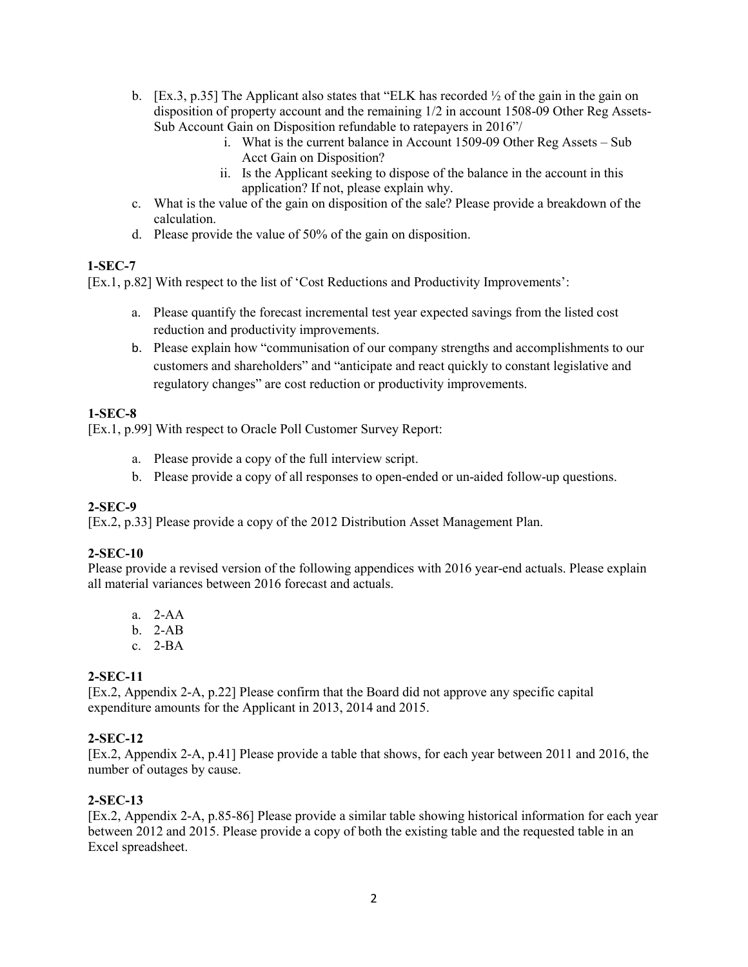- b. [Ex.3, p.35] The Applicant also states that "ELK has recorded  $\frac{1}{2}$  of the gain in the gain on disposition of property account and the remaining 1/2 in account 1508-09 Other Reg Assets-Sub Account Gain on Disposition refundable to ratepayers in 2016"/
	- i. What is the current balance in Account 1509-09 Other Reg Assets Sub Acct Gain on Disposition?
	- ii. Is the Applicant seeking to dispose of the balance in the account in this application? If not, please explain why.
- c. What is the value of the gain on disposition of the sale? Please provide a breakdown of the calculation.
- d. Please provide the value of 50% of the gain on disposition.

## **1-SEC-7**

[Ex.1, p.82] With respect to the list of 'Cost Reductions and Productivity Improvements':

- a. Please quantify the forecast incremental test year expected savings from the listed cost reduction and productivity improvements.
- b. Please explain how "communisation of our company strengths and accomplishments to our customers and shareholders" and "anticipate and react quickly to constant legislative and regulatory changes" are cost reduction or productivity improvements.

## **1-SEC-8**

[Ex.1, p.99] With respect to Oracle Poll Customer Survey Report:

- a. Please provide a copy of the full interview script.
- b. Please provide a copy of all responses to open-ended or un-aided follow-up questions.

## **2-SEC-9**

[Ex.2, p.33] Please provide a copy of the 2012 Distribution Asset Management Plan.

## **2-SEC-10**

Please provide a revised version of the following appendices with 2016 year-end actuals. Please explain all material variances between 2016 forecast and actuals.

- a. 2-AA
- b. 2-AB
- c. 2-BA

## **2-SEC-11**

[Ex.2, Appendix 2-A, p.22] Please confirm that the Board did not approve any specific capital expenditure amounts for the Applicant in 2013, 2014 and 2015.

## **2-SEC-12**

[Ex.2, Appendix 2-A, p.41] Please provide a table that shows, for each year between 2011 and 2016, the number of outages by cause.

## **2-SEC-13**

[Ex.2, Appendix 2-A, p.85-86] Please provide a similar table showing historical information for each year between 2012 and 2015. Please provide a copy of both the existing table and the requested table in an Excel spreadsheet.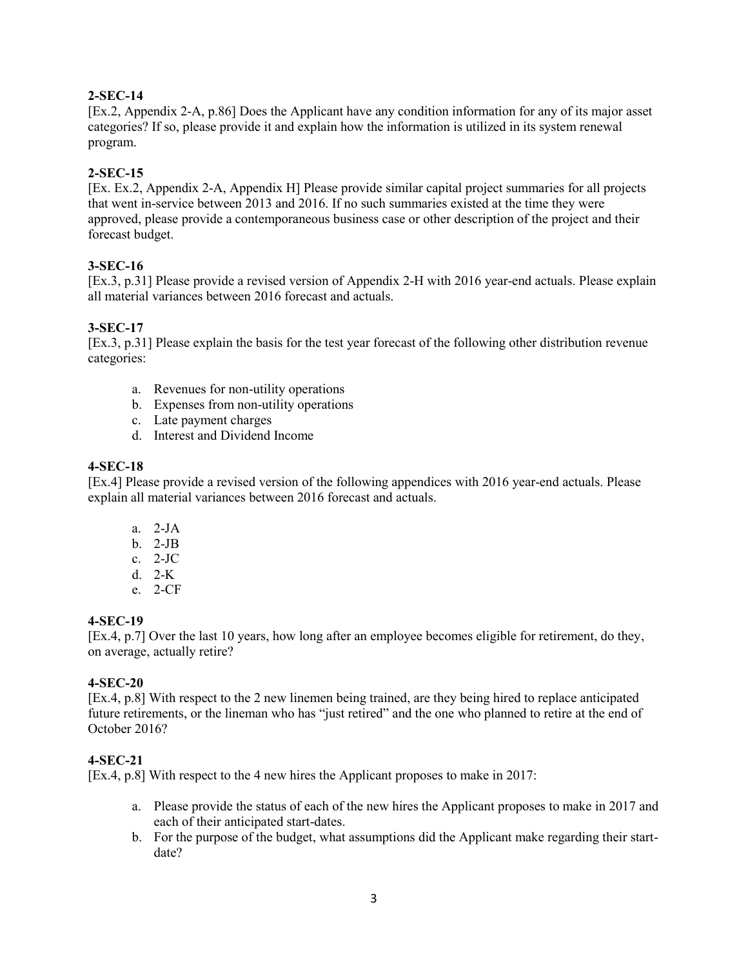## **2-SEC-14**

[Ex.2, Appendix 2-A, p.86] Does the Applicant have any condition information for any of its major asset categories? If so, please provide it and explain how the information is utilized in its system renewal program.

## **2-SEC-15**

[Ex. Ex.2, Appendix 2-A, Appendix H] Please provide similar capital project summaries for all projects that went in-service between 2013 and 2016. If no such summaries existed at the time they were approved, please provide a contemporaneous business case or other description of the project and their forecast budget.

## **3-SEC-16**

[Ex.3, p.31] Please provide a revised version of Appendix 2-H with 2016 year-end actuals. Please explain all material variances between 2016 forecast and actuals.

## **3-SEC-17**

[Ex.3, p.31] Please explain the basis for the test year forecast of the following other distribution revenue categories:

- a. Revenues for non-utility operations
- b. Expenses from non-utility operations
- c. Late payment charges
- d. Interest and Dividend Income

## **4-SEC-18**

[Ex.4] Please provide a revised version of the following appendices with 2016 year-end actuals. Please explain all material variances between 2016 forecast and actuals.

- a. 2-JA
- b. 2-JB
- c. 2-JC
- d. 2-K
- e. 2-CF

## **4-SEC-19**

[Ex.4, p.7] Over the last 10 years, how long after an employee becomes eligible for retirement, do they, on average, actually retire?

## **4-SEC-20**

[Ex.4, p.8] With respect to the 2 new linemen being trained, are they being hired to replace anticipated future retirements, or the lineman who has "just retired" and the one who planned to retire at the end of October 2016?

## **4-SEC-21**

[Ex.4, p.8] With respect to the 4 new hires the Applicant proposes to make in 2017:

- a. Please provide the status of each of the new hires the Applicant proposes to make in 2017 and each of their anticipated start-dates.
- b. For the purpose of the budget, what assumptions did the Applicant make regarding their startdate?